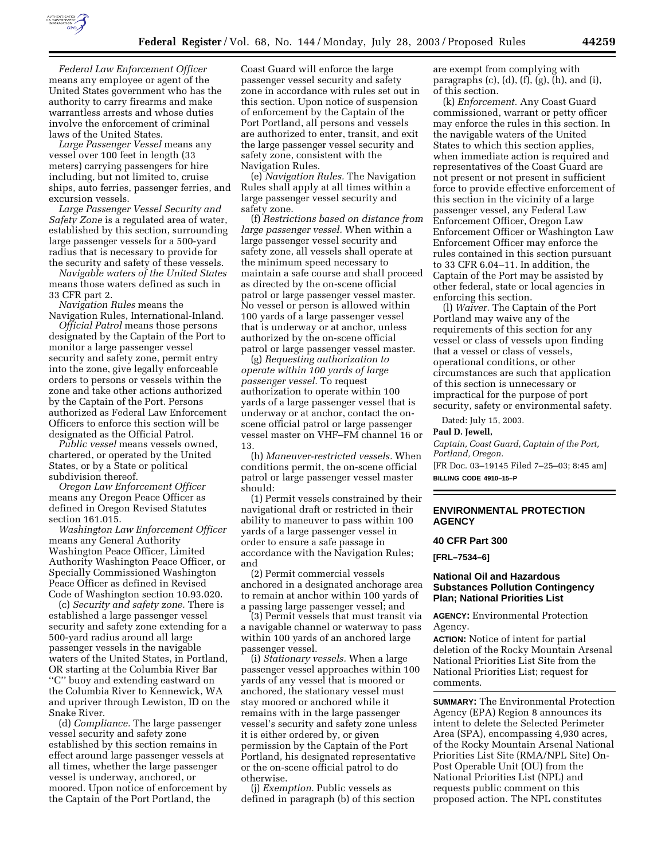

*Federal Law Enforcement Officer* means any employee or agent of the United States government who has the authority to carry firearms and make warrantless arrests and whose duties involve the enforcement of criminal laws of the United States.

*Large Passenger Vessel* means any vessel over 100 feet in length (33 meters) carrying passengers for hire including, but not limited to, cruise ships, auto ferries, passenger ferries, and excursion vessels.

*Large Passenger Vessel Security and Safety Zone* is a regulated area of water, established by this section, surrounding large passenger vessels for a 500-yard radius that is necessary to provide for the security and safety of these vessels.

*Navigable waters of the United States* means those waters defined as such in 33 CFR part 2.

*Navigation Rules* means the Navigation Rules, International-Inland.

*Official Patrol* means those persons designated by the Captain of the Port to monitor a large passenger vessel security and safety zone, permit entry into the zone, give legally enforceable orders to persons or vessels within the zone and take other actions authorized by the Captain of the Port. Persons authorized as Federal Law Enforcement Officers to enforce this section will be designated as the Official Patrol.

*Public vessel* means vessels owned, chartered, or operated by the United States, or by a State or political subdivision thereof.

*Oregon Law Enforcement Officer* means any Oregon Peace Officer as defined in Oregon Revised Statutes section 161.015.

*Washington Law Enforcement Officer* means any General Authority Washington Peace Officer, Limited Authority Washington Peace Officer, or Specially Commissioned Washington Peace Officer as defined in Revised Code of Washington section 10.93.020.

(c) *Security and safety zone.* There is established a large passenger vessel security and safety zone extending for a 500-yard radius around all large passenger vessels in the navigable waters of the United States, in Portland, OR starting at the Columbia River Bar ''C'' buoy and extending eastward on the Columbia River to Kennewick, WA and upriver through Lewiston, ID on the Snake River.

(d) *Compliance.* The large passenger vessel security and safety zone established by this section remains in effect around large passenger vessels at all times, whether the large passenger vessel is underway, anchored, or moored. Upon notice of enforcement by the Captain of the Port Portland, the

Coast Guard will enforce the large passenger vessel security and safety zone in accordance with rules set out in this section. Upon notice of suspension of enforcement by the Captain of the Port Portland, all persons and vessels are authorized to enter, transit, and exit the large passenger vessel security and safety zone, consistent with the Navigation Rules.

(e) *Navigation Rules.* The Navigation Rules shall apply at all times within a large passenger vessel security and safety zone.

(f) *Restrictions based on distance from large passenger vessel.* When within a large passenger vessel security and safety zone, all vessels shall operate at the minimum speed necessary to maintain a safe course and shall proceed as directed by the on-scene official patrol or large passenger vessel master. No vessel or person is allowed within 100 yards of a large passenger vessel that is underway or at anchor, unless authorized by the on-scene official patrol or large passenger vessel master.

(g) *Requesting authorization to operate within 100 yards of large passenger vessel.* To request authorization to operate within 100 yards of a large passenger vessel that is underway or at anchor, contact the onscene official patrol or large passenger vessel master on VHF–FM channel 16 or 13.

(h) *Maneuver-restricted vessels.* When conditions permit, the on-scene official patrol or large passenger vessel master should:

(1) Permit vessels constrained by their navigational draft or restricted in their ability to maneuver to pass within 100 yards of a large passenger vessel in order to ensure a safe passage in accordance with the Navigation Rules; and

(2) Permit commercial vessels anchored in a designated anchorage area to remain at anchor within 100 yards of a passing large passenger vessel; and

(3) Permit vessels that must transit via a navigable channel or waterway to pass within 100 yards of an anchored large passenger vessel.

(i) *Stationary vessels.* When a large passenger vessel approaches within 100 yards of any vessel that is moored or anchored, the stationary vessel must stay moored or anchored while it remains with in the large passenger vessel's security and safety zone unless it is either ordered by, or given permission by the Captain of the Port Portland, his designated representative or the on-scene official patrol to do otherwise.

(j) *Exemption.* Public vessels as defined in paragraph (b) of this section are exempt from complying with paragraphs  $(c)$ ,  $(d)$ ,  $(f)$ ,  $(g)$ ,  $(h)$ , and  $(i)$ , of this section.

(k) *Enforcement.* Any Coast Guard commissioned, warrant or petty officer may enforce the rules in this section. In the navigable waters of the United States to which this section applies, when immediate action is required and representatives of the Coast Guard are not present or not present in sufficient force to provide effective enforcement of this section in the vicinity of a large passenger vessel, any Federal Law Enforcement Officer, Oregon Law Enforcement Officer or Washington Law Enforcement Officer may enforce the rules contained in this section pursuant to 33 CFR 6.04–11. In addition, the Captain of the Port may be assisted by other federal, state or local agencies in enforcing this section.

(l) *Waiver.* The Captain of the Port Portland may waive any of the requirements of this section for any vessel or class of vessels upon finding that a vessel or class of vessels, operational conditions, or other circumstances are such that application of this section is unnecessary or impractical for the purpose of port security, safety or environmental safety.

Dated: July 15, 2003.

### **Paul D. Jewell,**

*Captain, Coast Guard, Captain of the Port, Portland, Oregon.*

[FR Doc. 03–19145 Filed 7–25–03; 8:45 am] **BILLING CODE 4910–15–P**

# **ENVIRONMENTAL PROTECTION AGENCY**

### **40 CFR Part 300**

**[FRL–7534–6]** 

# **National Oil and Hazardous Substances Pollution Contingency Plan; National Priorities List**

**AGENCY:** Environmental Protection Agency.

**ACTION:** Notice of intent for partial deletion of the Rocky Mountain Arsenal National Priorities List Site from the National Priorities List; request for comments.

**SUMMARY:** The Environmental Protection Agency (EPA) Region 8 announces its intent to delete the Selected Perimeter Area (SPA), encompassing 4,930 acres, of the Rocky Mountain Arsenal National Priorities List Site (RMA/NPL Site) On-Post Operable Unit (OU) from the National Priorities List (NPL) and requests public comment on this proposed action. The NPL constitutes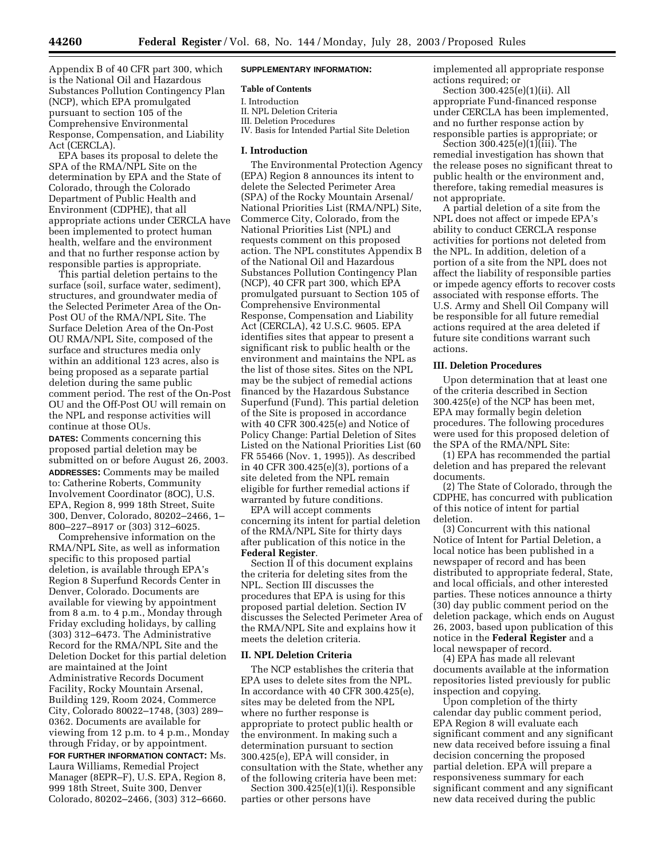Appendix B of 40 CFR part 300, which is the National Oil and Hazardous Substances Pollution Contingency Plan (NCP), which EPA promulgated pursuant to section 105 of the Comprehensive Environmental Response, Compensation, and Liability Act (CERCLA).

EPA bases its proposal to delete the SPA of the RMA/NPL Site on the determination by EPA and the State of Colorado, through the Colorado Department of Public Health and Environment (CDPHE), that all appropriate actions under CERCLA have been implemented to protect human health, welfare and the environment and that no further response action by responsible parties is appropriate.

This partial deletion pertains to the surface (soil, surface water, sediment), structures, and groundwater media of the Selected Perimeter Area of the On-Post OU of the RMA/NPL Site. The Surface Deletion Area of the On-Post OU RMA/NPL Site, composed of the surface and structures media only within an additional 123 acres, also is being proposed as a separate partial deletion during the same public comment period. The rest of the On-Post OU and the Off-Post OU will remain on the NPL and response activities will continue at those OUs.

**DATES:** Comments concerning this proposed partial deletion may be submitted on or before August 26, 2003. **ADDRESSES:** Comments may be mailed to: Catherine Roberts, Community Involvement Coordinator (8OC), U.S. EPA, Region 8, 999 18th Street, Suite 300, Denver, Colorado, 80202–2466, 1– 800–227–8917 or (303) 312–6025.

Comprehensive information on the RMA/NPL Site, as well as information specific to this proposed partial deletion, is available through EPA's Region 8 Superfund Records Center in Denver, Colorado. Documents are available for viewing by appointment from 8 a.m. to 4 p.m., Monday through Friday excluding holidays, by calling (303) 312–6473. The Administrative Record for the RMA/NPL Site and the Deletion Docket for this partial deletion are maintained at the Joint Administrative Records Document Facility, Rocky Mountain Arsenal, Building 129, Room 2024, Commerce City, Colorado 80022–1748, (303) 289– 0362. Documents are available for viewing from 12 p.m. to 4 p.m., Monday through Friday, or by appointment.

**FOR FURTHER INFORMATION CONTACT:** Ms. Laura Williams, Remedial Project Manager (8EPR–F), U.S. EPA, Region 8, 999 18th Street, Suite 300, Denver Colorado, 80202–2466, (303) 312–6660.

### **SUPPLEMENTARY INFORMATION:**

## **Table of Contents**

- I. Introduction
- II. NPL Deletion Criteria
- III. Deletion Procedures
- IV. Basis for Intended Partial Site Deletion

#### **I. Introduction**

The Environmental Protection Agency (EPA) Region 8 announces its intent to delete the Selected Perimeter Area (SPA) of the Rocky Mountain Arsenal/ National Priorities List (RMA/NPL) Site, Commerce City, Colorado, from the National Priorities List (NPL) and requests comment on this proposed action. The NPL constitutes Appendix B of the National Oil and Hazardous Substances Pollution Contingency Plan (NCP), 40 CFR part 300, which EPA promulgated pursuant to Section 105 of Comprehensive Environmental Response, Compensation and Liability Act (CERCLA), 42 U.S.C. 9605. EPA identifies sites that appear to present a significant risk to public health or the environment and maintains the NPL as the list of those sites. Sites on the NPL may be the subject of remedial actions financed by the Hazardous Substance Superfund (Fund). This partial deletion of the Site is proposed in accordance with 40 CFR 300.425(e) and Notice of Policy Change: Partial Deletion of Sites Listed on the National Priorities List (60 FR 55466 (Nov. 1, 1995)). As described in 40 CFR 300.425(e)(3), portions of a site deleted from the NPL remain eligible for further remedial actions if warranted by future conditions.

EPA will accept comments concerning its intent for partial deletion of the RMA/NPL Site for thirty days after publication of this notice in the **Federal Register**.

Section II of this document explains the criteria for deleting sites from the NPL. Section III discusses the procedures that EPA is using for this proposed partial deletion. Section IV discusses the Selected Perimeter Area of the RMA/NPL Site and explains how it meets the deletion criteria.

#### **II. NPL Deletion Criteria**

The NCP establishes the criteria that EPA uses to delete sites from the NPL. In accordance with 40 CFR 300.425(e), sites may be deleted from the NPL where no further response is appropriate to protect public health or the environment. In making such a determination pursuant to section 300.425(e), EPA will consider, in consultation with the State, whether any of the following criteria have been met:

Section 300.425(e)(1)(i). Responsible parties or other persons have

implemented all appropriate response actions required; or

Section 300.425(e)(1)(ii). All appropriate Fund-financed response under CERCLA has been implemented, and no further response action by responsible parties is appropriate; or

Section 300.425(e)(1)(iii). The remedial investigation has shown that the release poses no significant threat to public health or the environment and, therefore, taking remedial measures is not appropriate.

A partial deletion of a site from the NPL does not affect or impede EPA's ability to conduct CERCLA response activities for portions not deleted from the NPL. In addition, deletion of a portion of a site from the NPL does not affect the liability of responsible parties or impede agency efforts to recover costs associated with response efforts. The U.S. Army and Shell Oil Company will be responsible for all future remedial actions required at the area deleted if future site conditions warrant such actions.

#### **III. Deletion Procedures**

Upon determination that at least one of the criteria described in Section 300.425(e) of the NCP has been met, EPA may formally begin deletion procedures. The following procedures were used for this proposed deletion of the SPA of the RMA/NPL Site:

(1) EPA has recommended the partial deletion and has prepared the relevant documents.

(2) The State of Colorado, through the CDPHE, has concurred with publication of this notice of intent for partial deletion.

(3) Concurrent with this national Notice of Intent for Partial Deletion, a local notice has been published in a newspaper of record and has been distributed to appropriate federal, State, and local officials, and other interested parties. These notices announce a thirty (30) day public comment period on the deletion package, which ends on August 26, 2003, based upon publication of this notice in the **Federal Register** and a local newspaper of record.

(4) EPA has made all relevant documents available at the information repositories listed previously for public inspection and copying.

Upon completion of the thirty calendar day public comment period, EPA Region 8 will evaluate each significant comment and any significant new data received before issuing a final decision concerning the proposed partial deletion. EPA will prepare a responsiveness summary for each significant comment and any significant new data received during the public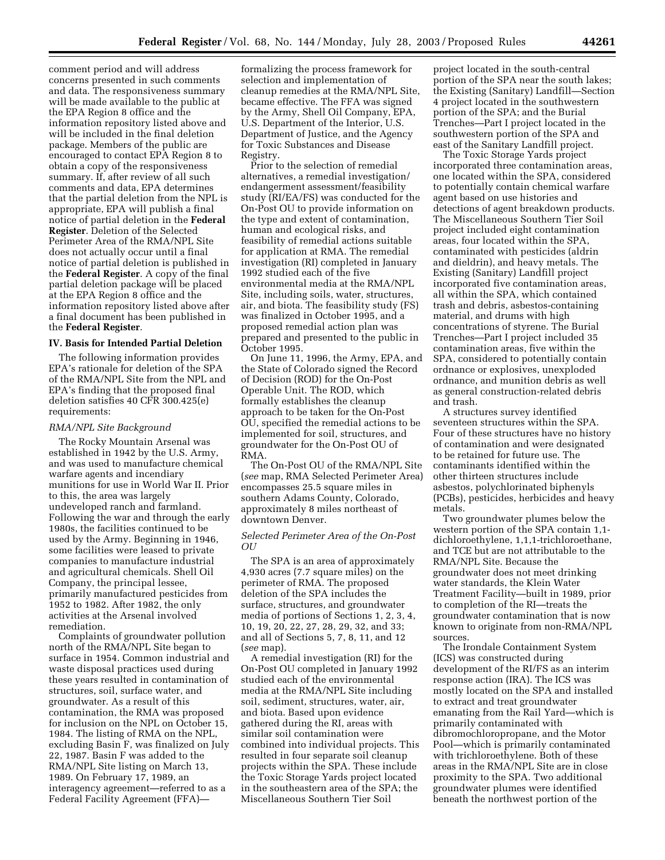comment period and will address concerns presented in such comments and data. The responsiveness summary will be made available to the public at the EPA Region 8 office and the information repository listed above and will be included in the final deletion package. Members of the public are encouraged to contact EPA Region 8 to obtain a copy of the responsiveness summary. If, after review of all such comments and data, EPA determines that the partial deletion from the NPL is appropriate, EPA will publish a final notice of partial deletion in the **Federal Register**. Deletion of the Selected Perimeter Area of the RMA/NPL Site does not actually occur until a final notice of partial deletion is published in the **Federal Register**. A copy of the final partial deletion package will be placed at the EPA Region 8 office and the information repository listed above after a final document has been published in the **Federal Register**.

#### **IV. Basis for Intended Partial Deletion**

The following information provides EPA's rationale for deletion of the SPA of the RMA/NPL Site from the NPL and EPA's finding that the proposed final deletion satisfies 40 CFR 300.425(e) requirements:

### *RMA/NPL Site Background*

The Rocky Mountain Arsenal was established in 1942 by the U.S. Army, and was used to manufacture chemical warfare agents and incendiary munitions for use in World War II. Prior to this, the area was largely undeveloped ranch and farmland. Following the war and through the early 1980s, the facilities continued to be used by the Army. Beginning in 1946, some facilities were leased to private companies to manufacture industrial and agricultural chemicals. Shell Oil Company, the principal lessee, primarily manufactured pesticides from 1952 to 1982. After 1982, the only activities at the Arsenal involved remediation.

Complaints of groundwater pollution north of the RMA/NPL Site began to surface in 1954. Common industrial and waste disposal practices used during these years resulted in contamination of structures, soil, surface water, and groundwater. As a result of this contamination, the RMA was proposed for inclusion on the NPL on October 15, 1984. The listing of RMA on the NPL, excluding Basin F, was finalized on July 22, 1987. Basin F was added to the RMA/NPL Site listing on March 13, 1989. On February 17, 1989, an interagency agreement—referred to as a Federal Facility Agreement (FFA)—

formalizing the process framework for selection and implementation of cleanup remedies at the RMA/NPL Site, became effective. The FFA was signed by the Army, Shell Oil Company, EPA, U.S. Department of the Interior, U.S. Department of Justice, and the Agency for Toxic Substances and Disease Registry.

Prior to the selection of remedial alternatives, a remedial investigation/ endangerment assessment/feasibility study (RI/EA/FS) was conducted for the On-Post OU to provide information on the type and extent of contamination, human and ecological risks, and feasibility of remedial actions suitable for application at RMA. The remedial investigation (RI) completed in January 1992 studied each of the five environmental media at the RMA/NPL Site, including soils, water, structures, air, and biota. The feasibility study (FS) was finalized in October 1995, and a proposed remedial action plan was prepared and presented to the public in October 1995.

On June 11, 1996, the Army, EPA, and the State of Colorado signed the Record of Decision (ROD) for the On-Post Operable Unit. The ROD, which formally establishes the cleanup approach to be taken for the On-Post OU, specified the remedial actions to be implemented for soil, structures, and groundwater for the On-Post OU of RMA.

The On-Post OU of the RMA/NPL Site (*see* map, RMA Selected Perimeter Area) encompasses 25.5 square miles in southern Adams County, Colorado, approximately 8 miles northeast of downtown Denver.

### *Selected Perimeter Area of the On-Post OU*

The SPA is an area of approximately 4,930 acres (7.7 square miles) on the perimeter of RMA. The proposed deletion of the SPA includes the surface, structures, and groundwater media of portions of Sections 1, 2, 3, 4, 10, 19, 20, 22, 27, 28, 29, 32, and 33; and all of Sections 5, 7, 8, 11, and 12 (*see* map).

A remedial investigation (RI) for the On-Post OU completed in January 1992 studied each of the environmental media at the RMA/NPL Site including soil, sediment, structures, water, air, and biota. Based upon evidence gathered during the RI, areas with similar soil contamination were combined into individual projects. This resulted in four separate soil cleanup projects within the SPA. These include the Toxic Storage Yards project located in the southeastern area of the SPA; the Miscellaneous Southern Tier Soil

project located in the south-central portion of the SPA near the south lakes; the Existing (Sanitary) Landfill—Section 4 project located in the southwestern portion of the SPA; and the Burial Trenches—Part I project located in the southwestern portion of the SPA and east of the Sanitary Landfill project.

The Toxic Storage Yards project incorporated three contamination areas, one located within the SPA, considered to potentially contain chemical warfare agent based on use histories and detections of agent breakdown products. The Miscellaneous Southern Tier Soil project included eight contamination areas, four located within the SPA, contaminated with pesticides (aldrin and dieldrin), and heavy metals. The Existing (Sanitary) Landfill project incorporated five contamination areas, all within the SPA, which contained trash and debris, asbestos-containing material, and drums with high concentrations of styrene. The Burial Trenches—Part I project included 35 contamination areas, five within the SPA, considered to potentially contain ordnance or explosives, unexploded ordnance, and munition debris as well as general construction-related debris and trash.

A structures survey identified seventeen structures within the SPA. Four of these structures have no history of contamination and were designated to be retained for future use. The contaminants identified within the other thirteen structures include asbestos, polychlorinated biphenyls (PCBs), pesticides, herbicides and heavy metals.

Two groundwater plumes below the western portion of the SPA contain 1,1 dichloroethylene, 1,1,1-trichloroethane, and TCE but are not attributable to the RMA/NPL Site. Because the groundwater does not meet drinking water standards, the Klein Water Treatment Facility—built in 1989, prior to completion of the RI—treats the groundwater contamination that is now known to originate from non-RMA/NPL sources.

The Irondale Containment System (ICS) was constructed during development of the RI/FS as an interim response action (IRA). The ICS was mostly located on the SPA and installed to extract and treat groundwater emanating from the Rail Yard—which is primarily contaminated with dibromochloropropane, and the Motor Pool—which is primarily contaminated with trichloroethylene. Both of these areas in the RMA/NPL Site are in close proximity to the SPA. Two additional groundwater plumes were identified beneath the northwest portion of the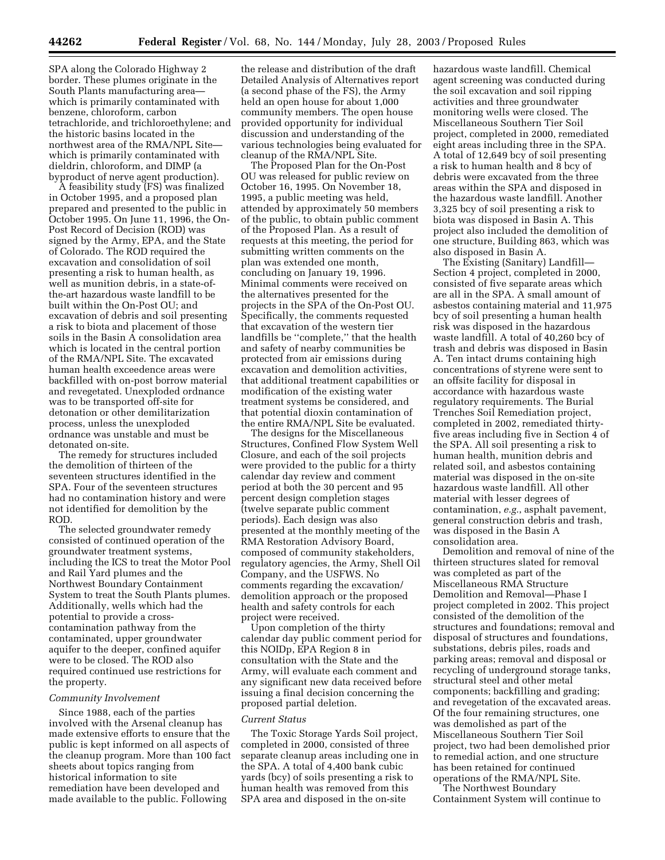SPA along the Colorado Highway 2 border. These plumes originate in the South Plants manufacturing area which is primarily contaminated with benzene, chloroform, carbon tetrachloride, and trichloroethylene; and the historic basins located in the northwest area of the RMA/NPL Site which is primarily contaminated with dieldrin, chloroform, and DIMP (a byproduct of nerve agent production).

A feasibility study (FS) was finalized in October 1995, and a proposed plan prepared and presented to the public in October 1995. On June 11, 1996, the On-Post Record of Decision (ROD) was signed by the Army, EPA, and the State of Colorado. The ROD required the excavation and consolidation of soil presenting a risk to human health, as well as munition debris, in a state-ofthe-art hazardous waste landfill to be built within the On-Post OU; and excavation of debris and soil presenting a risk to biota and placement of those soils in the Basin A consolidation area which is located in the central portion of the RMA/NPL Site. The excavated human health exceedence areas were backfilled with on-post borrow material and revegetated. Unexploded ordnance was to be transported off-site for detonation or other demilitarization process, unless the unexploded ordnance was unstable and must be detonated on-site.

The remedy for structures included the demolition of thirteen of the seventeen structures identified in the SPA. Four of the seventeen structures had no contamination history and were not identified for demolition by the ROD.

The selected groundwater remedy consisted of continued operation of the groundwater treatment systems, including the ICS to treat the Motor Pool and Rail Yard plumes and the Northwest Boundary Containment System to treat the South Plants plumes. Additionally, wells which had the potential to provide a crosscontamination pathway from the contaminated, upper groundwater aquifer to the deeper, confined aquifer were to be closed. The ROD also required continued use restrictions for the property.

### *Community Involvement*

Since 1988, each of the parties involved with the Arsenal cleanup has made extensive efforts to ensure that the public is kept informed on all aspects of the cleanup program. More than 100 fact sheets about topics ranging from historical information to site remediation have been developed and made available to the public. Following

the release and distribution of the draft Detailed Analysis of Alternatives report (a second phase of the FS), the Army held an open house for about 1,000 community members. The open house provided opportunity for individual discussion and understanding of the various technologies being evaluated for cleanup of the RMA/NPL Site.

The Proposed Plan for the On-Post OU was released for public review on October 16, 1995. On November 18, 1995, a public meeting was held, attended by approximately 50 members of the public, to obtain public comment of the Proposed Plan. As a result of requests at this meeting, the period for submitting written comments on the plan was extended one month, concluding on January 19, 1996. Minimal comments were received on the alternatives presented for the projects in the SPA of the On-Post OU. Specifically, the comments requested that excavation of the western tier landfills be ''complete,'' that the health and safety of nearby communities be protected from air emissions during excavation and demolition activities, that additional treatment capabilities or modification of the existing water treatment systems be considered, and that potential dioxin contamination of the entire RMA/NPL Site be evaluated.

The designs for the Miscellaneous Structures, Confined Flow System Well Closure, and each of the soil projects were provided to the public for a thirty calendar day review and comment period at both the 30 percent and 95 percent design completion stages (twelve separate public comment periods). Each design was also presented at the monthly meeting of the RMA Restoration Advisory Board, composed of community stakeholders, regulatory agencies, the Army, Shell Oil Company, and the USFWS. No comments regarding the excavation/ demolition approach or the proposed health and safety controls for each project were received.

Upon completion of the thirty calendar day public comment period for this NOIDp, EPA Region 8 in consultation with the State and the Army, will evaluate each comment and any significant new data received before issuing a final decision concerning the proposed partial deletion.

#### *Current Status*

The Toxic Storage Yards Soil project, completed in 2000, consisted of three separate cleanup areas including one in the SPA. A total of 4,400 bank cubic yards (bcy) of soils presenting a risk to human health was removed from this SPA area and disposed in the on-site

hazardous waste landfill. Chemical agent screening was conducted during the soil excavation and soil ripping activities and three groundwater monitoring wells were closed. The Miscellaneous Southern Tier Soil project, completed in 2000, remediated eight areas including three in the SPA. A total of 12,649 bcy of soil presenting a risk to human health and 8 bcy of debris were excavated from the three areas within the SPA and disposed in the hazardous waste landfill. Another 3,325 bcy of soil presenting a risk to biota was disposed in Basin A. This project also included the demolition of one structure, Building 863, which was also disposed in Basin A.

The Existing (Sanitary) Landfill— Section 4 project, completed in 2000, consisted of five separate areas which are all in the SPA. A small amount of asbestos containing material and 11,975 bcy of soil presenting a human health risk was disposed in the hazardous waste landfill. A total of 40,260 bcy of trash and debris was disposed in Basin A. Ten intact drums containing high concentrations of styrene were sent to an offsite facility for disposal in accordance with hazardous waste regulatory requirements. The Burial Trenches Soil Remediation project, completed in 2002, remediated thirtyfive areas including five in Section 4 of the SPA. All soil presenting a risk to human health, munition debris and related soil, and asbestos containing material was disposed in the on-site hazardous waste landfill. All other material with lesser degrees of contamination, *e.g.*, asphalt pavement, general construction debris and trash, was disposed in the Basin A consolidation area.

Demolition and removal of nine of the thirteen structures slated for removal was completed as part of the Miscellaneous RMA Structure Demolition and Removal—Phase I project completed in 2002. This project consisted of the demolition of the structures and foundations; removal and disposal of structures and foundations, substations, debris piles, roads and parking areas; removal and disposal or recycling of underground storage tanks, structural steel and other metal components; backfilling and grading; and revegetation of the excavated areas. Of the four remaining structures, one was demolished as part of the Miscellaneous Southern Tier Soil project, two had been demolished prior to remedial action, and one structure has been retained for continued operations of the RMA/NPL Site.

The Northwest Boundary Containment System will continue to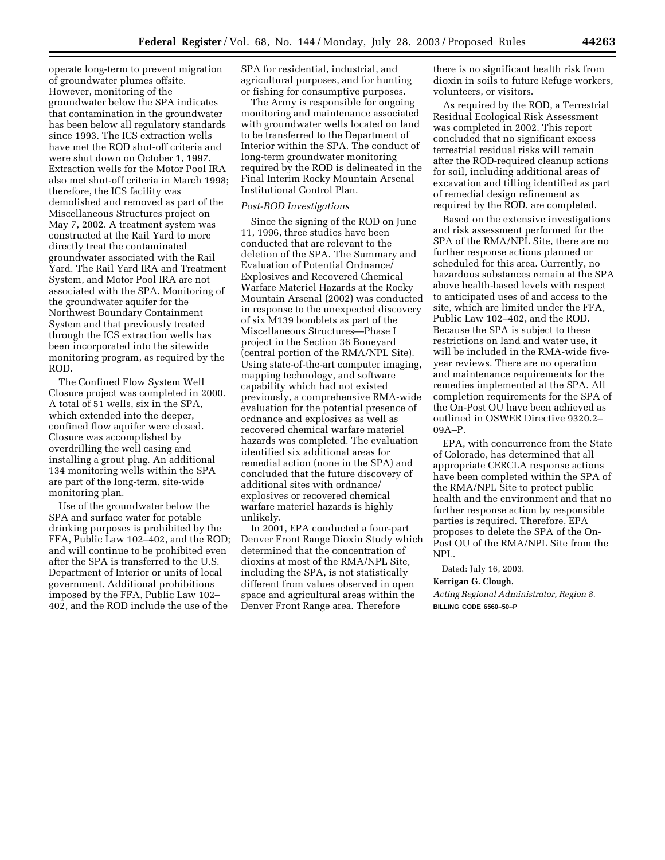operate long-term to prevent migration of groundwater plumes offsite. However, monitoring of the groundwater below the SPA indicates that contamination in the groundwater has been below all regulatory standards since 1993. The ICS extraction wells have met the ROD shut-off criteria and were shut down on October 1, 1997. Extraction wells for the Motor Pool IRA also met shut-off criteria in March 1998; therefore, the ICS facility was demolished and removed as part of the Miscellaneous Structures project on May 7, 2002. A treatment system was constructed at the Rail Yard to more directly treat the contaminated groundwater associated with the Rail Yard. The Rail Yard IRA and Treatment System, and Motor Pool IRA are not associated with the SPA. Monitoring of the groundwater aquifer for the Northwest Boundary Containment System and that previously treated through the ICS extraction wells has been incorporated into the sitewide monitoring program, as required by the ROD.

The Confined Flow System Well Closure project was completed in 2000. A total of 51 wells, six in the SPA, which extended into the deeper, confined flow aquifer were closed. Closure was accomplished by overdrilling the well casing and installing a grout plug. An additional 134 monitoring wells within the SPA are part of the long-term, site-wide monitoring plan.

Use of the groundwater below the SPA and surface water for potable drinking purposes is prohibited by the FFA, Public Law 102–402, and the ROD; and will continue to be prohibited even after the SPA is transferred to the U.S. Department of Interior or units of local government. Additional prohibitions imposed by the FFA, Public Law 102– 402, and the ROD include the use of the

SPA for residential, industrial, and agricultural purposes, and for hunting or fishing for consumptive purposes.

The Army is responsible for ongoing monitoring and maintenance associated with groundwater wells located on land to be transferred to the Department of Interior within the SPA. The conduct of long-term groundwater monitoring required by the ROD is delineated in the Final Interim Rocky Mountain Arsenal Institutional Control Plan.

### *Post-ROD Investigations*

Since the signing of the ROD on June 11, 1996, three studies have been conducted that are relevant to the deletion of the SPA. The Summary and Evaluation of Potential Ordnance/ Explosives and Recovered Chemical Warfare Materiel Hazards at the Rocky Mountain Arsenal (2002) was conducted in response to the unexpected discovery of six M139 bomblets as part of the Miscellaneous Structures—Phase I project in the Section 36 Boneyard (central portion of the RMA/NPL Site). Using state-of-the-art computer imaging, mapping technology, and software capability which had not existed previously, a comprehensive RMA-wide evaluation for the potential presence of ordnance and explosives as well as recovered chemical warfare materiel hazards was completed. The evaluation identified six additional areas for remedial action (none in the SPA) and concluded that the future discovery of additional sites with ordnance/ explosives or recovered chemical warfare materiel hazards is highly unlikely.

In 2001, EPA conducted a four-part Denver Front Range Dioxin Study which determined that the concentration of dioxins at most of the RMA/NPL Site, including the SPA, is not statistically different from values observed in open space and agricultural areas within the Denver Front Range area. Therefore

there is no significant health risk from dioxin in soils to future Refuge workers, volunteers, or visitors.

As required by the ROD, a Terrestrial Residual Ecological Risk Assessment was completed in 2002. This report concluded that no significant excess terrestrial residual risks will remain after the ROD-required cleanup actions for soil, including additional areas of excavation and tilling identified as part of remedial design refinement as required by the ROD, are completed.

Based on the extensive investigations and risk assessment performed for the SPA of the RMA/NPL Site, there are no further response actions planned or scheduled for this area. Currently, no hazardous substances remain at the SPA above health-based levels with respect to anticipated uses of and access to the site, which are limited under the FFA, Public Law 102–402, and the ROD. Because the SPA is subject to these restrictions on land and water use, it will be included in the RMA-wide fiveyear reviews. There are no operation and maintenance requirements for the remedies implemented at the SPA. All completion requirements for the SPA of the On-Post OU have been achieved as outlined in OSWER Directive 9320.2– 09A–P.

EPA, with concurrence from the State of Colorado, has determined that all appropriate CERCLA response actions have been completed within the SPA of the RMA/NPL Site to protect public health and the environment and that no further response action by responsible parties is required. Therefore, EPA proposes to delete the SPA of the On-Post OU of the RMA/NPL Site from the NPL.

Dated: July 16, 2003. **Kerrigan G. Clough,** 

*Acting Regional Administrator, Region 8.* **BILLING CODE 6560–50–P**